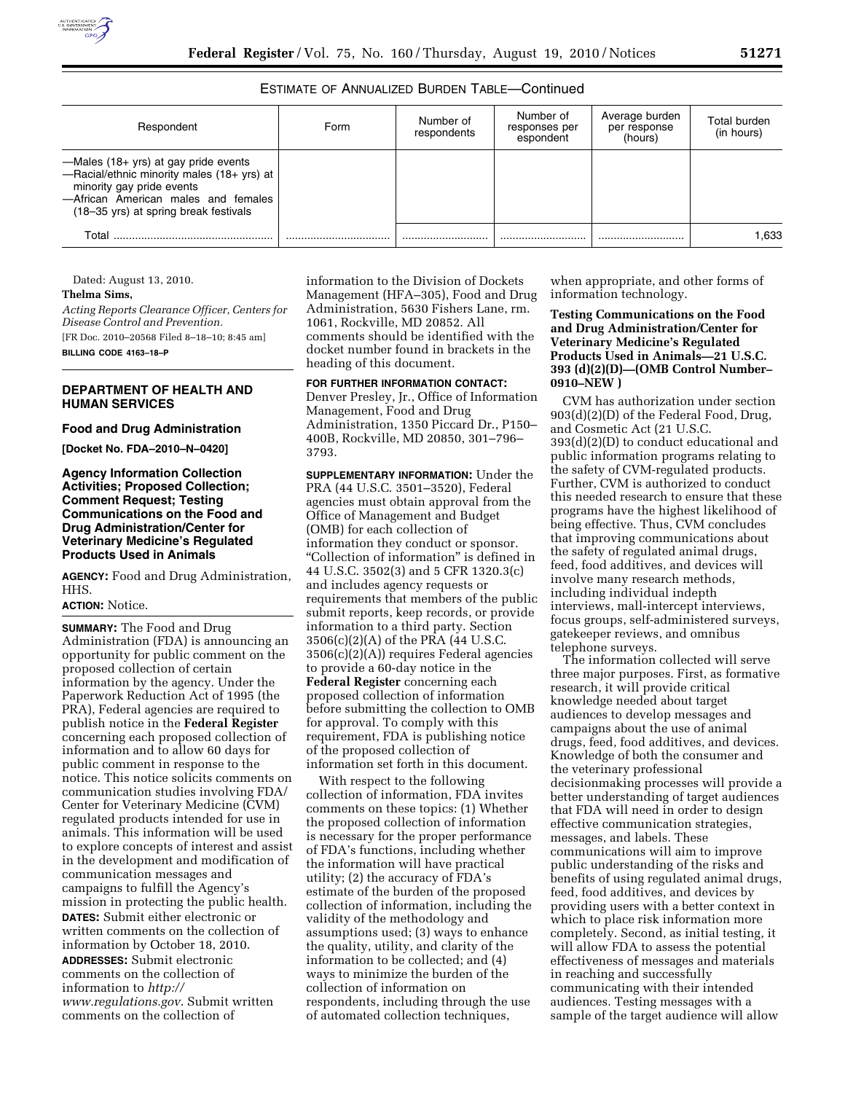# ESTIMATE OF ANNUALIZED BURDEN TABLE—Continued

| Respondent                                                                                                                                                                                      | Form | Number of<br>respondents | Number of<br>responses per<br>espondent | Average burden<br>per response<br>(hours) | Total burden<br>(in hours) |
|-------------------------------------------------------------------------------------------------------------------------------------------------------------------------------------------------|------|--------------------------|-----------------------------------------|-------------------------------------------|----------------------------|
| —Males (18+ yrs) at gay pride events<br>-Racial/ethnic minority males (18+ yrs) at<br>minority gay pride events<br>-African American males and females<br>(18–35 yrs) at spring break festivals |      |                          |                                         |                                           |                            |
| Total                                                                                                                                                                                           |      |                          |                                         |                                           | 1.633                      |

Dated: August 13, 2010.

### **Thelma Sims,**

*Acting Reports Clearance Officer, Centers for Disease Control and Prevention.*  [FR Doc. 2010–20568 Filed 8–18–10; 8:45 am]

**BILLING CODE 4163–18–P** 

# **DEPARTMENT OF HEALTH AND HUMAN SERVICES**

#### **Food and Drug Administration**

**[Docket No. FDA–2010–N–0420]** 

## **Agency Information Collection Activities; Proposed Collection; Comment Request; Testing Communications on the Food and Drug Administration/Center for Veterinary Medicine's Regulated Products Used in Animals**

**AGENCY:** Food and Drug Administration, HHS.

# **ACTION:** Notice.

**SUMMARY:** The Food and Drug Administration (FDA) is announcing an opportunity for public comment on the proposed collection of certain information by the agency. Under the Paperwork Reduction Act of 1995 (the PRA), Federal agencies are required to publish notice in the **Federal Register**  concerning each proposed collection of information and to allow 60 days for public comment in response to the notice. This notice solicits comments on communication studies involving FDA/ Center for Veterinary Medicine (CVM) regulated products intended for use in animals. This information will be used to explore concepts of interest and assist in the development and modification of communication messages and campaigns to fulfill the Agency's mission in protecting the public health. **DATES:** Submit either electronic or written comments on the collection of information by October 18, 2010. **ADDRESSES:** Submit electronic comments on the collection of information to *[http://](http://www.regulations.gov) [www.regulations.gov](http://www.regulations.gov)*. Submit written comments on the collection of

information to the Division of Dockets Management (HFA–305), Food and Drug Administration, 5630 Fishers Lane, rm. 1061, Rockville, MD 20852. All comments should be identified with the docket number found in brackets in the heading of this document.

#### **FOR FURTHER INFORMATION CONTACT:**

Denver Presley, Jr., Office of Information Management, Food and Drug Administration, 1350 Piccard Dr., P150– 400B, Rockville, MD 20850, 301–796– 3793.

**SUPPLEMENTARY INFORMATION:** Under the PRA (44 U.S.C. 3501–3520), Federal agencies must obtain approval from the Office of Management and Budget (OMB) for each collection of information they conduct or sponsor. ''Collection of information'' is defined in 44 U.S.C. 3502(3) and 5 CFR 1320.3(c) and includes agency requests or requirements that members of the public submit reports, keep records, or provide information to a third party. Section 3506(c)(2)(A) of the PRA (44 U.S.C. 3506(c)(2)(A)) requires Federal agencies to provide a 60-day notice in the **Federal Register** concerning each proposed collection of information before submitting the collection to OMB for approval. To comply with this requirement, FDA is publishing notice of the proposed collection of information set forth in this document.

With respect to the following collection of information, FDA invites comments on these topics: (1) Whether the proposed collection of information is necessary for the proper performance of FDA's functions, including whether the information will have practical utility; (2) the accuracy of FDA's estimate of the burden of the proposed collection of information, including the validity of the methodology and assumptions used; (3) ways to enhance the quality, utility, and clarity of the information to be collected; and (4) ways to minimize the burden of the collection of information on respondents, including through the use of automated collection techniques,

when appropriate, and other forms of information technology.

## **Testing Communications on the Food and Drug Administration/Center for Veterinary Medicine's Regulated Products Used in Animals—21 U.S.C. 393 (d)(2)(D)—(OMB Control Number– 0910–NEW )**

CVM has authorization under section 903(d)(2)(D) of the Federal Food, Drug, and Cosmetic Act (21 U.S.C. 393(d)(2)(D) to conduct educational and public information programs relating to the safety of CVM-regulated products. Further, CVM is authorized to conduct this needed research to ensure that these programs have the highest likelihood of being effective. Thus, CVM concludes that improving communications about the safety of regulated animal drugs, feed, food additives, and devices will involve many research methods, including individual indepth interviews, mall-intercept interviews, focus groups, self-administered surveys, gatekeeper reviews, and omnibus telephone surveys.

The information collected will serve three major purposes. First, as formative research, it will provide critical knowledge needed about target audiences to develop messages and campaigns about the use of animal drugs, feed, food additives, and devices. Knowledge of both the consumer and the veterinary professional decisionmaking processes will provide a better understanding of target audiences that FDA will need in order to design effective communication strategies, messages, and labels. These communications will aim to improve public understanding of the risks and benefits of using regulated animal drugs, feed, food additives, and devices by providing users with a better context in which to place risk information more completely. Second, as initial testing, it will allow FDA to assess the potential effectiveness of messages and materials in reaching and successfully communicating with their intended audiences. Testing messages with a sample of the target audience will allow